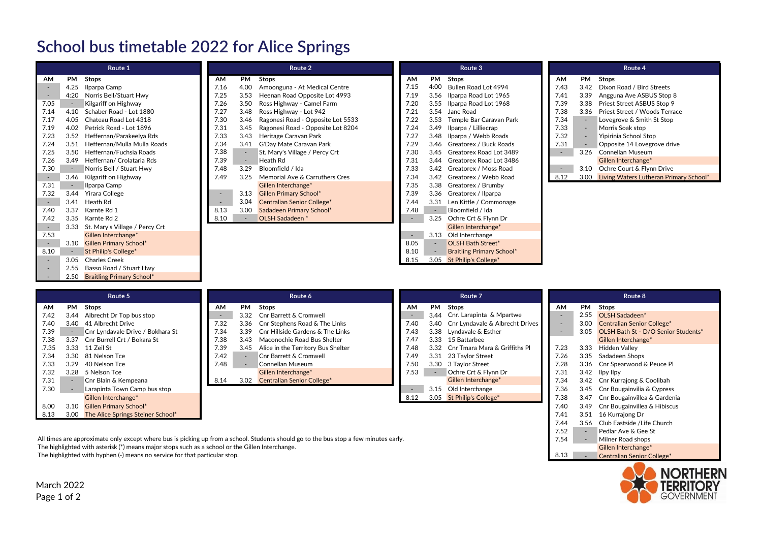## **School bus timetable 2022 for Alice Springs**

| Route 1                  |      |                                | Route 2                  |      |                                   |           | Route 3 |                                  |        | Route 4 |                                             |  |
|--------------------------|------|--------------------------------|--------------------------|------|-----------------------------------|-----------|---------|----------------------------------|--------|---------|---------------------------------------------|--|
| AM                       | PM   | Stops                          | AM                       | PM   | Stops                             | <b>AM</b> | PM      | <b>Stops</b>                     | AM     |         | PM Stops                                    |  |
| $\sim$                   | 4.25 | Ilparpa Camp                   | 7.16                     | 4.00 | Amoonguna - At Medical Centre     | 7.15      | 4:00    | Bullen Road Lot 4994             | 7.43   | 3.42    | Dixon Road / Bird Streets                   |  |
| $\sim$                   | 4:20 | Norris Bell/Stuart Hwy         | 7.25                     | 3.53 | Heenan Road Opposite Lot 4993     | 7.19      |         | 3.56 Ilparpa Road Lot 1965       | 7.41   | 3.39    | Angguna Ave ASBUS Stop 8                    |  |
| 7.05                     |      | Kilgariff on Highway           | 7.26                     | 3.50 | Ross Highway - Camel Farm         | 7.20      |         | 3.55 Ilparpa Road Lot 1968       | 7.39   |         | 3.38 Priest Street ASBUS Stop 9             |  |
| 7.14                     | 4.10 | Schaber Road - Lot 1880        | 7.27                     | 3.48 | Ross Highway - Lot 942            | 7.21      | 3.54    | Jane Road                        | 7.38   | 3.36    | Priest Street / Woods Terrace               |  |
| 7.17                     | 4.05 | Chateau Road Lot 4318          | 7.30                     | 3.46 | Ragonesi Road - Opposite Lot 5533 | 7.22      |         | 3.53 Temple Bar Caravan Park     | 7.34   |         | Lovegrove & Smith St Stop                   |  |
| 7.19                     | 4.02 | Petrick Road - Lot 1896        | 7.31                     | 3.45 | Ragonesi Road - Opposite Lot 8204 | 7.24      | 3.49    | Ilparpa / Lilliecrap             | 7.33   |         | Morris Soak stop                            |  |
| 7.23                     | 3.52 | Heffernan/Parakeelya Rds       | 7.33                     | 3.43 | Heritage Caravan Park             | 7.27      | 3.48    | Ilparpa / Webb Roads             | 7.32   |         | Yipirinia School Stop                       |  |
| 7.24                     | 3.51 | Heffernan/Mulla Mulla Roads    | 7.34                     | 3.41 | G'Day Mate Caravan Park           | 7.29      | 3.46    | Greatorex / Buck Roads           | 7.31   |         | Opposite 14 Lovegrove drive                 |  |
| 7.25                     | 3.50 | Heffernan/Fuchsia Roads        | 7.38                     |      | St. Mary's Village / Percy Crt    | 7.30      | 3.45    | Greatorex Road Lot 3489          | $\sim$ | 3.26    | Connellan Museum                            |  |
| 7.26                     | 3.49 | Heffernan/ Crolataria Rds      | 7.39                     |      | Heath Rd                          | 7.31      | 3.44    | Greatorex Road Lot 3486          |        |         | Gillen Interchange*                         |  |
| 7.30                     |      | Norris Bell / Stuart Hwy       | 7.48                     | 3.29 | Bloomfield / Ida                  | 7.33      |         | 3.42 Greatorex / Moss Road       |        |         | 3.10 Ochre Court & Flynn Drive              |  |
| $\sim$                   | 3.46 | Kilgariff on Highway           | 7.49                     | 3.25 | Memorial Ave & Carruthers Cres    | 7.34      | 3.42    | Greatorex / Webb Road            | 8.12   |         | 3.00 Living Waters Lutheran Primary School* |  |
| 7.31                     |      | Ilparpa Camp                   |                          |      | Gillen Interchange*               | 7.35      | 3.38    | Greatorex / Brumby               |        |         |                                             |  |
| 7.32                     | 3.44 | Yirara College                 |                          | 3.13 | <b>Gillen Primary School*</b>     | 7.39      | 3.36    | Greatorex / Ilparpa              |        |         |                                             |  |
| $\sim$                   |      | 3.41 Heath Rd                  | $\overline{\phantom{a}}$ | 3.04 | <b>Centralian Senior College*</b> | 7.44      | 3.31    | Len Kittle / Commonage           |        |         |                                             |  |
| 7.40                     | 3.37 | Karnte Rd 1                    | 8.13                     | 3.00 | Sadadeen Primary School*          | 7.48      | $\sim$  | Bloomfield / Ida                 |        |         |                                             |  |
| 7.42                     | 3.35 | Karnte Rd 2                    | 8.10                     |      | OLSH Sadadeen *                   |           | 3.25    | Ochre Crt & Flynn Dr             |        |         |                                             |  |
| $\sim$                   | 3.33 | St. Mary's Village / Percy Crt |                          |      |                                   |           |         | Gillen Interchange*              |        |         |                                             |  |
| 7.53                     |      | Gillen Interchange*            |                          |      |                                   |           | 3.13    | Old Interchange                  |        |         |                                             |  |
| $\sim$                   |      | 3.10 Gillen Primary School*    |                          |      |                                   | 8.05      |         | <b>OLSH Bath Street*</b>         |        |         |                                             |  |
| 8.10                     |      | St Philip's College*           |                          |      |                                   | 8.10      |         | <b>Braitling Primary School*</b> |        |         |                                             |  |
| $\sim$                   | 3.05 | <b>Charles Creek</b>           |                          |      |                                   | 8.15      |         | 3.05 St Philip's College*        |        |         |                                             |  |
| $\sim$                   | 2.55 | Basso Road / Stuart Hwy        |                          |      |                                   |           |         |                                  |        |         |                                             |  |
| $\overline{\phantom{a}}$ |      | 2.50 Braitling Primary School* |                          |      |                                   |           |         |                                  |        |         |                                             |  |

| Route 5 |      |                                   | Route 6 |      |                                    |      | Route 7 |                                       |                          | Route 8 |                                     |  |
|---------|------|-----------------------------------|---------|------|------------------------------------|------|---------|---------------------------------------|--------------------------|---------|-------------------------------------|--|
| AM      | PM   | Stops                             | AM      | PM   | <b>Stops</b>                       | AM   | PM      | Stops                                 | <b>AM</b>                | PM      | Stops                               |  |
| 7.42    | 3.44 | Albrecht Dr Top bus stop          | $\sim$  | 3.32 | <b>Cnr Barrett &amp; Cromwell</b>  |      |         | 3.44 Cnr. Larapinta & Mpartwe         |                          |         | 2.55 OLSH Sadadeen*                 |  |
| 7.40    | 3.40 | 41 Albrecht Drive                 | 7.32    | 3.36 | Cnr Stephens Road & The Links      | 7.40 |         | 3.40 Cnr Lyndavale & Albrecht Drives  | $\overline{\phantom{0}}$ | 3.00    | <b>Centralian Senior College*</b>   |  |
| 7.39    |      | Cnr Lyndavale Drive / Bokhara St  | 7.34    | 3.39 | Cnr Hillside Gardens & The Links   | 7.43 |         | 3.38 Lyndavale & Esther               |                          | 3.05    | OLSH Bath St - D/O Senior Students* |  |
| 7.38    | 3.37 | Cnr Burrell Crt / Bokara St       | 7.38    | 3.43 | Maconochie Road Bus Shelter        | 7.47 |         | 3.33 15 Battarbee                     |                          |         | Gillen Interchange*                 |  |
| .7.35   | 3.33 | 11 Zeil St                        | 7.39    | 3.45 | Alice in the Territory Bus Shelter | .48  |         | 3.32 Cnr Tmara Mara & Griffiths Pl    | 7.23                     | 3.33    | Hidden Vallev                       |  |
| 7.34    | 3.30 | 81 Nelson Tce                     | 7.42    |      | Cnr Barrett & Cromwell             | /.49 |         | 3.31 23 Taylor Street                 | 7.26                     | 3.35    | Sadadeen Shops                      |  |
| 7.33    | 3.29 | 40 Nelson Tce                     | 7.48    |      | Connellan Museum                   | 7.50 |         | 3.30 3 Taylor Street                  | 7.28                     |         | 3.36 Cnr Spearwood & Peuce Pl       |  |
| 7.32    |      | 3.28 5 Nelson Tce                 |         |      | Gillen Interchange*                | 7.53 |         | Ochre Crt & Flynn Dr                  | 7.31                     |         | 3.42 Ilpy Ilpy                      |  |
| 7.31    |      | Cnr Blain & Kempeana              | 8.14    | 3.02 | <b>Centralian Senior College*</b>  |      |         | Gillen Interchange*                   | 7.34                     |         | 3.42 Cnr Kurrajong & Coolibah       |  |
| 7.30    |      | Larapinta Town Camp bus stop      |         |      |                                    |      |         | 3.15 Old Interchange                  | 7.36                     |         | 3.45 Cnr Bougainvilia & Cypress     |  |
|         |      | Gillen Interchange*               |         |      |                                    | 8.12 |         | 3.05 St Philip's College <sup>*</sup> | 7.38                     | 3.47    | Cnr Bougainvillea & Gardenia        |  |
| 8.00    | 3.10 | <b>Gillen Primary School*</b>     |         |      |                                    |      |         |                                       | 7.40                     |         | 3.49 Cnr Bougainvillea & Hibiscus   |  |
| 8.13    | 3.00 | The Alice Springs Steiner School* |         |      |                                    |      |         |                                       | 7.41                     | 3.51    | 16 Kurrajong Dr                     |  |
|         |      |                                   |         |      |                                    |      |         |                                       | 7.44                     |         | 3.56 Club Eastside / Life Church    |  |

All times are approximate only except where bus is picking up from a school. Students should go to the bus stop a few minutes early. The highlighted with a step and shops a school of the Gillen Interchange. The highlighted with asterisk (\*) means major stops such as a school or the Gillen Interchange.<br>The highlighted with hyphen (-) means no service for that particular stop. Gillen Interchange and the Gillen Interchange and t The highlighted with hyphen (-) means no service for that particular stop.



7.52 - Pedlar Ave & Gee St